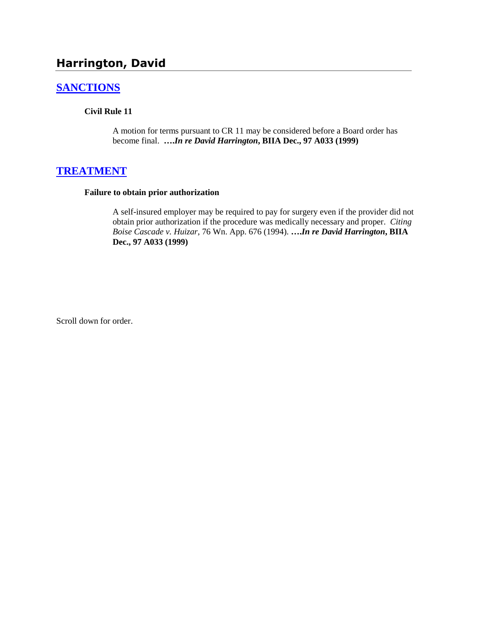# **Harrington, David**

# **[SANCTIONS](http://www.biia.wa.gov/SDSubjectIndex.html#SANCTIONS)**

#### **Civil Rule 11**

A motion for terms pursuant to CR 11 may be considered before a Board order has become final. **….***In re David Harrington***, BIIA Dec., 97 A033 (1999)** 

### **[TREATMENT](http://www.biia.wa.gov/SDSubjectIndex.html#TREATMENT)**

#### **Failure to obtain prior authorization**

A self-insured employer may be required to pay for surgery even if the provider did not obtain prior authorization if the procedure was medically necessary and proper. *Citing Boise Cascade v. Huizar*, 76 Wn. App. 676 (1994). **….***In re David Harrington***, BIIA Dec., 97 A033 (1999)**

Scroll down for order.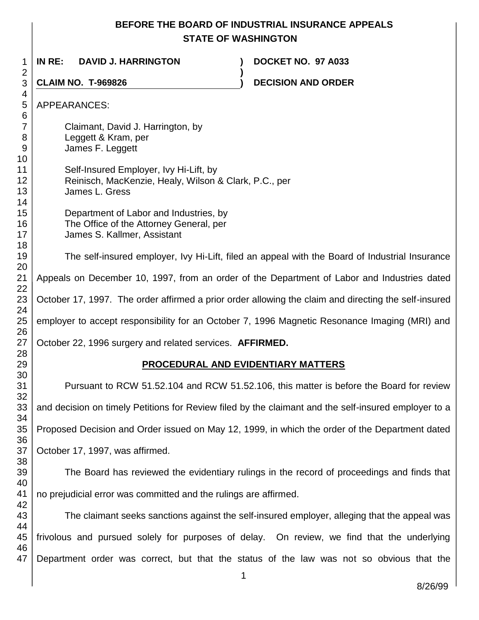# **BEFORE THE BOARD OF INDUSTRIAL INSURANCE APPEALS STATE OF WASHINGTON**

**)**

 **IN RE: DAVID J. HARRINGTON ) DOCKET NO. 97 A033**

 

**CLAIM NO. T-969826 ) DECISION AND ORDER** 

 APPEARANCES: Claimant, David J. Harrington, by Leggett & Kram, per James F. Leggett Self-Insured Employer, Ivy Hi-Lift, by Reinisch, MacKenzie, Healy, Wilson & Clark, P.C., per James L. Gress Department of Labor and Industries, by The Office of the Attorney General, per James S. Kallmer, Assistant The self-insured employer, Ivy Hi-Lift, filed an appeal with the Board of Industrial Insurance Appeals on December 10, 1997, from an order of the Department of Labor and Industries dated October 17, 1997. The order affirmed a prior order allowing the claim and directing the self-insured employer to accept responsibility for an October 7, 1996 Magnetic Resonance Imaging (MRI) and October 22, 1996 surgery and related services. **AFFIRMED. PROCEDURAL AND EVIDENTIARY MATTERS** Pursuant to RCW 51.52.104 and RCW 51.52.106, this matter is before the Board for review and decision on timely Petitions for Review filed by the claimant and the self-insured employer to a

 Proposed Decision and Order issued on May 12, 1999, in which the order of the Department dated

 October 17, 1997, was affirmed.

 The Board has reviewed the evidentiary rulings in the record of proceedings and finds that no prejudicial error was committed and the rulings are affirmed.

 The claimant seeks sanctions against the self-insured employer, alleging that the appeal was frivolous and pursued solely for purposes of delay. On review, we find that the underlying Department order was correct, but that the status of the law was not so obvious that the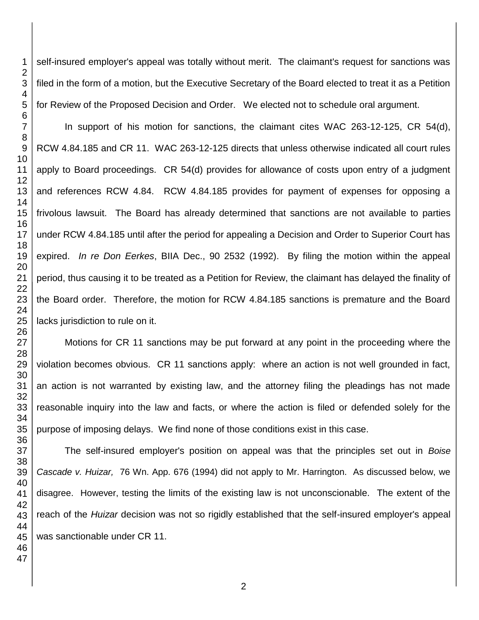self-insured employer's appeal was totally without merit. The claimant's request for sanctions was filed in the form of a motion, but the Executive Secretary of the Board elected to treat it as a Petition for Review of the Proposed Decision and Order. We elected not to schedule oral argument.

In support of his motion for sanctions, the claimant cites WAC 263-12-125, CR 54(d), RCW 4.84.185 and CR 11. WAC 263-12-125 directs that unless otherwise indicated all court rules apply to Board proceedings. CR 54(d) provides for allowance of costs upon entry of a judgment and references RCW 4.84. RCW 4.84.185 provides for payment of expenses for opposing a frivolous lawsuit. The Board has already determined that sanctions are not available to parties under RCW 4.84.185 until after the period for appealing a Decision and Order to Superior Court has expired. *In re Don Eerkes*, BIIA Dec., 90 2532 (1992). By filing the motion within the appeal period, thus causing it to be treated as a Petition for Review, the claimant has delayed the finality of the Board order. Therefore, the motion for RCW 4.84.185 sanctions is premature and the Board lacks jurisdiction to rule on it.

Motions for CR 11 sanctions may be put forward at any point in the proceeding where the violation becomes obvious. CR 11 sanctions apply: where an action is not well grounded in fact, an action is not warranted by existing law, and the attorney filing the pleadings has not made reasonable inquiry into the law and facts, or where the action is filed or defended solely for the purpose of imposing delays. We find none of those conditions exist in this case.

The self-insured employer's position on appeal was that the principles set out in *Boise Cascade v. Huizar,* 76 Wn. App. 676 (1994) did not apply to Mr. Harrington. As discussed below, we disagree. However, testing the limits of the existing law is not unconscionable. The extent of the reach of the *Huizar* decision was not so rigidly established that the self-insured employer's appeal was sanctionable under CR 11.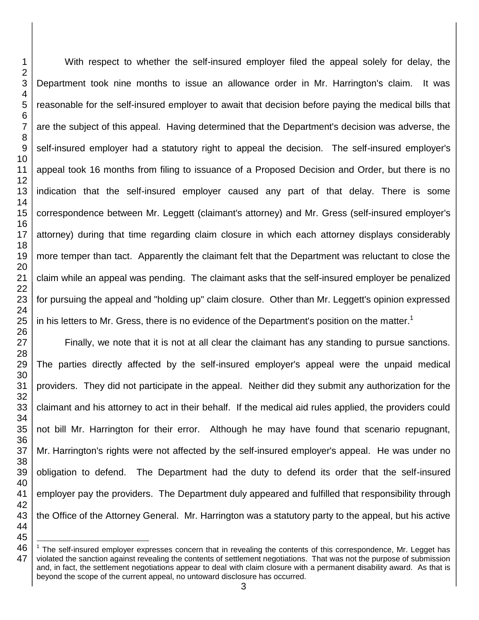With respect to whether the self-insured employer filed the appeal solely for delay, the Department took nine months to issue an allowance order in Mr. Harrington's claim. It was reasonable for the self-insured employer to await that decision before paying the medical bills that are the subject of this appeal. Having determined that the Department's decision was adverse, the self-insured employer had a statutory right to appeal the decision. The self-insured employer's appeal took 16 months from filing to issuance of a Proposed Decision and Order, but there is no indication that the self-insured employer caused any part of that delay. There is some correspondence between Mr. Leggett (claimant's attorney) and Mr. Gress (self-insured employer's attorney) during that time regarding claim closure in which each attorney displays considerably more temper than tact. Apparently the claimant felt that the Department was reluctant to close the claim while an appeal was pending. The claimant asks that the self-insured employer be penalized for pursuing the appeal and "holding up" claim closure. Other than Mr. Leggett's opinion expressed in his letters to Mr. Gress, there is no evidence of the Department's position on the matter.<sup>1</sup>

Finally, we note that it is not at all clear the claimant has any standing to pursue sanctions. The parties directly affected by the self-insured employer's appeal were the unpaid medical providers. They did not participate in the appeal. Neither did they submit any authorization for the claimant and his attorney to act in their behalf. If the medical aid rules applied, the providers could not bill Mr. Harrington for their error. Although he may have found that scenario repugnant, Mr. Harrington's rights were not affected by the self-insured employer's appeal. He was under no obligation to defend. The Department had the duty to defend its order that the self-insured employer pay the providers. The Department duly appeared and fulfilled that responsibility through the Office of the Attorney General. Mr. Harrington was a statutory party to the appeal, but his active

l The self-insured employer expresses concern that in revealing the contents of this correspondence, Mr. Legget has violated the sanction against revealing the contents of settlement negotiations. That was not the purpose of submission and, in fact, the settlement negotiations appear to deal with claim closure with a permanent disability award. As that is beyond the scope of the current appeal, no untoward disclosure has occurred.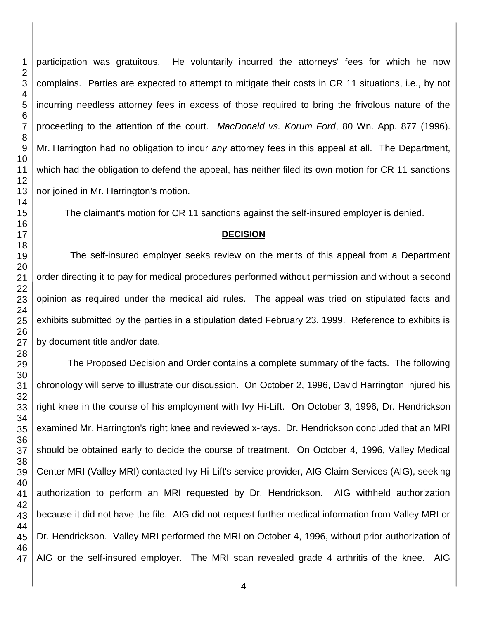participation was gratuitous. He voluntarily incurred the attorneys' fees for which he now complains. Parties are expected to attempt to mitigate their costs in CR 11 situations, i.e., by not incurring needless attorney fees in excess of those required to bring the frivolous nature of the proceeding to the attention of the court. *MacDonald vs. Korum Ford*, 80 Wn. App. 877 (1996). Mr. Harrington had no obligation to incur *any* attorney fees in this appeal at all. The Department, which had the obligation to defend the appeal, has neither filed its own motion for CR 11 sanctions nor joined in Mr. Harrington's motion.

The claimant's motion for CR 11 sanctions against the self-insured employer is denied.

#### **DECISION**

The self-insured employer seeks review on the merits of this appeal from a Department order directing it to pay for medical procedures performed without permission and without a second opinion as required under the medical aid rules. The appeal was tried on stipulated facts and exhibits submitted by the parties in a stipulation dated February 23, 1999. Reference to exhibits is by document title and/or date.

The Proposed Decision and Order contains a complete summary of the facts. The following chronology will serve to illustrate our discussion. On October 2, 1996, David Harrington injured his right knee in the course of his employment with Ivy Hi-Lift. On October 3, 1996, Dr. Hendrickson examined Mr. Harrington's right knee and reviewed x-rays. Dr. Hendrickson concluded that an MRI should be obtained early to decide the course of treatment. On October 4, 1996, Valley Medical Center MRI (Valley MRI) contacted Ivy Hi-Lift's service provider, AIG Claim Services (AIG), seeking authorization to perform an MRI requested by Dr. Hendrickson. AIG withheld authorization because it did not have the file. AIG did not request further medical information from Valley MRI or Dr. Hendrickson. Valley MRI performed the MRI on October 4, 1996, without prior authorization of AIG or the self-insured employer. The MRI scan revealed grade 4 arthritis of the knee. AIG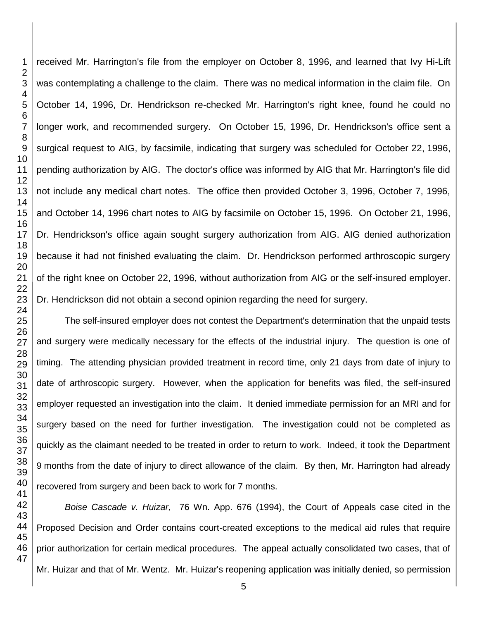received Mr. Harrington's file from the employer on October 8, 1996, and learned that Ivy Hi-Lift was contemplating a challenge to the claim. There was no medical information in the claim file. On October 14, 1996, Dr. Hendrickson re-checked Mr. Harrington's right knee, found he could no longer work, and recommended surgery. On October 15, 1996, Dr. Hendrickson's office sent a surgical request to AIG, by facsimile, indicating that surgery was scheduled for October 22, 1996, pending authorization by AIG. The doctor's office was informed by AIG that Mr. Harrington's file did not include any medical chart notes. The office then provided October 3, 1996, October 7, 1996, and October 14, 1996 chart notes to AIG by facsimile on October 15, 1996. On October 21, 1996, Dr. Hendrickson's office again sought surgery authorization from AIG. AIG denied authorization because it had not finished evaluating the claim. Dr. Hendrickson performed arthroscopic surgery of the right knee on October 22, 1996, without authorization from AIG or the self-insured employer. Dr. Hendrickson did not obtain a second opinion regarding the need for surgery.

The self-insured employer does not contest the Department's determination that the unpaid tests and surgery were medically necessary for the effects of the industrial injury. The question is one of timing. The attending physician provided treatment in record time, only 21 days from date of injury to date of arthroscopic surgery. However, when the application for benefits was filed, the self-insured employer requested an investigation into the claim. It denied immediate permission for an MRI and for surgery based on the need for further investigation. The investigation could not be completed as quickly as the claimant needed to be treated in order to return to work. Indeed, it took the Department months from the date of injury to direct allowance of the claim. By then, Mr. Harrington had already recovered from surgery and been back to work for 7 months.

*Boise Cascade v. Huizar,* 76 Wn. App. 676 (1994), the Court of Appeals case cited in the Proposed Decision and Order contains court-created exceptions to the medical aid rules that require prior authorization for certain medical procedures. The appeal actually consolidated two cases, that of Mr. Huizar and that of Mr. Wentz. Mr. Huizar's reopening application was initially denied, so permission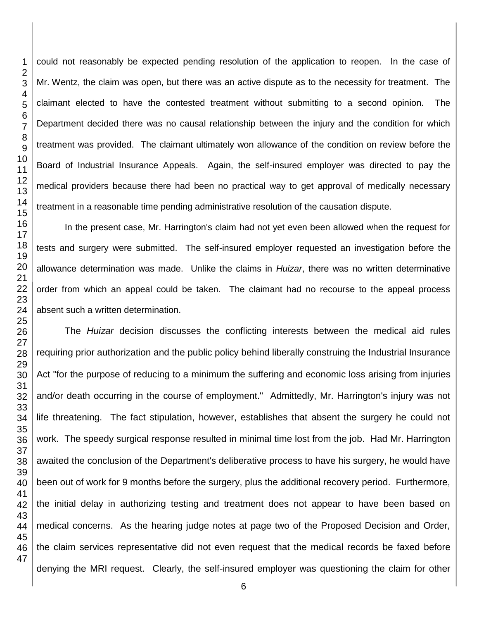could not reasonably be expected pending resolution of the application to reopen. In the case of Mr. Wentz, the claim was open, but there was an active dispute as to the necessity for treatment. The claimant elected to have the contested treatment without submitting to a second opinion. The Department decided there was no causal relationship between the injury and the condition for which treatment was provided. The claimant ultimately won allowance of the condition on review before the Board of Industrial Insurance Appeals. Again, the self-insured employer was directed to pay the medical providers because there had been no practical way to get approval of medically necessary treatment in a reasonable time pending administrative resolution of the causation dispute.

In the present case, Mr. Harrington's claim had not yet even been allowed when the request for tests and surgery were submitted. The self-insured employer requested an investigation before the allowance determination was made. Unlike the claims in *Huizar*, there was no written determinative order from which an appeal could be taken. The claimant had no recourse to the appeal process absent such a written determination.

The *Huizar* decision discusses the conflicting interests between the medical aid rules requiring prior authorization and the public policy behind liberally construing the Industrial Insurance Act "for the purpose of reducing to a minimum the suffering and economic loss arising from injuries and/or death occurring in the course of employment." Admittedly, Mr. Harrington's injury was not life threatening. The fact stipulation, however, establishes that absent the surgery he could not work. The speedy surgical response resulted in minimal time lost from the job. Had Mr. Harrington awaited the conclusion of the Department's deliberative process to have his surgery, he would have been out of work for 9 months before the surgery, plus the additional recovery period. Furthermore, the initial delay in authorizing testing and treatment does not appear to have been based on medical concerns. As the hearing judge notes at page two of the Proposed Decision and Order, the claim services representative did not even request that the medical records be faxed before denying the MRI request. Clearly, the self-insured employer was questioning the claim for other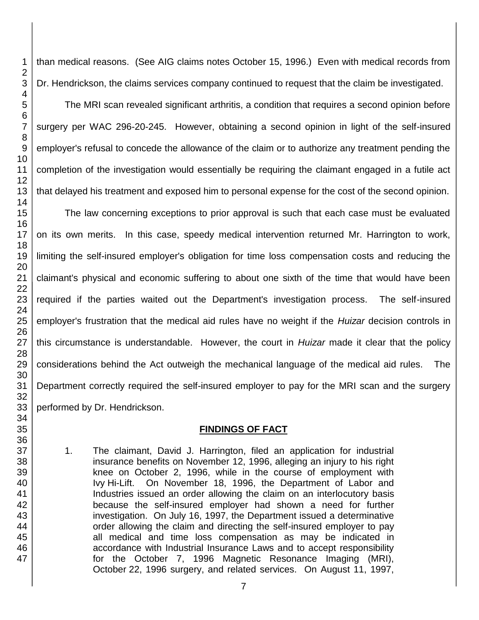than medical reasons. (See AIG claims notes October 15, 1996.) Even with medical records from Dr. Hendrickson, the claims services company continued to request that the claim be investigated.

The MRI scan revealed significant arthritis, a condition that requires a second opinion before surgery per WAC 296-20-245. However, obtaining a second opinion in light of the self-insured employer's refusal to concede the allowance of the claim or to authorize any treatment pending the completion of the investigation would essentially be requiring the claimant engaged in a futile act that delayed his treatment and exposed him to personal expense for the cost of the second opinion.

The law concerning exceptions to prior approval is such that each case must be evaluated on its own merits. In this case, speedy medical intervention returned Mr. Harrington to work, limiting the self-insured employer's obligation for time loss compensation costs and reducing the claimant's physical and economic suffering to about one sixth of the time that would have been required if the parties waited out the Department's investigation process. The self-insured employer's frustration that the medical aid rules have no weight if the *Huizar* decision controls in this circumstance is understandable. However, the court in *Huizar* made it clear that the policy considerations behind the Act outweigh the mechanical language of the medical aid rules. The Department correctly required the self-insured employer to pay for the MRI scan and the surgery performed by Dr. Hendrickson.

# **FINDINGS OF FACT**

1. The claimant, David J. Harrington, filed an application for industrial insurance benefits on November 12, 1996, alleging an injury to his right knee on October 2, 1996, while in the course of employment with Ivy Hi-Lift. On November 18, 1996, the Department of Labor and Industries issued an order allowing the claim on an interlocutory basis because the self-insured employer had shown a need for further investigation. On July 16, 1997, the Department issued a determinative order allowing the claim and directing the self-insured employer to pay all medical and time loss compensation as may be indicated in accordance with Industrial Insurance Laws and to accept responsibility for the October 7, 1996 Magnetic Resonance Imaging (MRI), October 22, 1996 surgery, and related services. On August 11, 1997,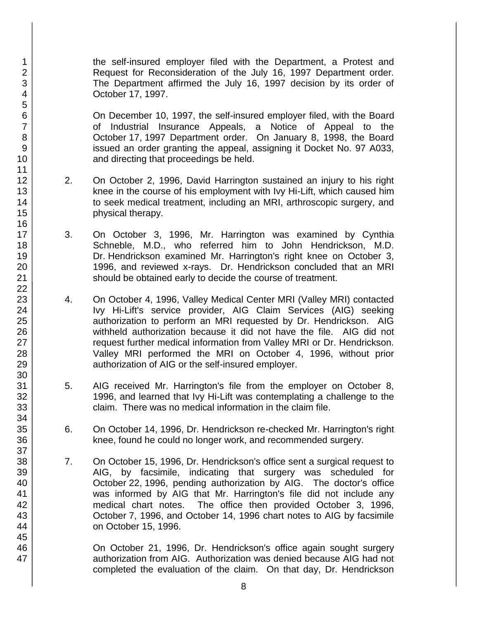the self-insured employer filed with the Department, a Protest and Request for Reconsideration of the July 16, 1997 Department order. The Department affirmed the July 16, 1997 decision by its order of October 17, 1997.

On December 10, 1997, the self-insured employer filed, with the Board of Industrial Insurance Appeals, a Notice of Appeal to the October 17, 1997 Department order. On January 8, 1998, the Board issued an order granting the appeal, assigning it Docket No. 97 A033, and directing that proceedings be held.

- 2. On October 2, 1996, David Harrington sustained an injury to his right knee in the course of his employment with Ivy Hi-Lift, which caused him to seek medical treatment, including an MRI, arthroscopic surgery, and physical therapy.
- 3. On October 3, 1996, Mr. Harrington was examined by Cynthia Schneble, M.D., who referred him to John Hendrickson, M.D. Dr. Hendrickson examined Mr. Harrington's right knee on October 3, 1996, and reviewed x-rays. Dr. Hendrickson concluded that an MRI should be obtained early to decide the course of treatment.
- 4. On October 4, 1996, Valley Medical Center MRI (Valley MRI) contacted Ivy Hi-Lift's service provider, AIG Claim Services (AIG) seeking authorization to perform an MRI requested by Dr. Hendrickson. AIG withheld authorization because it did not have the file. AIG did not request further medical information from Valley MRI or Dr. Hendrickson. Valley MRI performed the MRI on October 4, 1996, without prior authorization of AIG or the self-insured employer.
- 5. AIG received Mr. Harrington's file from the employer on October 8, 1996, and learned that Ivy Hi-Lift was contemplating a challenge to the claim. There was no medical information in the claim file.
- 6. On October 14, 1996, Dr. Hendrickson re-checked Mr. Harrington's right knee, found he could no longer work, and recommended surgery.
- 7. On October 15, 1996, Dr. Hendrickson's office sent a surgical request to AIG, by facsimile, indicating that surgery was scheduled for October 22, 1996, pending authorization by AIG. The doctor's office was informed by AIG that Mr. Harrington's file did not include any medical chart notes. The office then provided October 3, 1996, October 7, 1996, and October 14, 1996 chart notes to AIG by facsimile on October 15, 1996.

On October 21, 1996, Dr. Hendrickson's office again sought surgery authorization from AIG. Authorization was denied because AIG had not completed the evaluation of the claim. On that day, Dr. Hendrickson

1 2